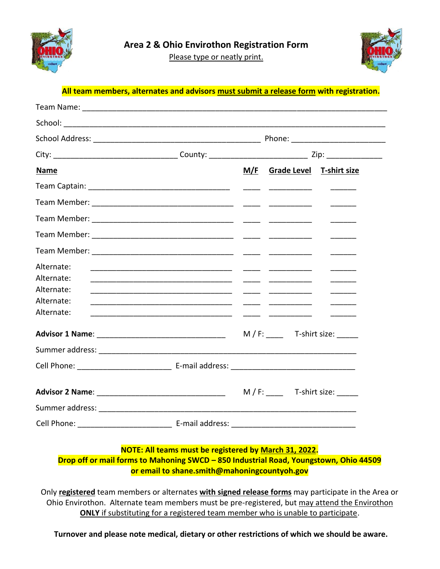

Please type or neatly print.



## **All team members, alternates and advisors must submit a release form with registration.**

| <b>Name</b>                                                        |  | M/F Grade Level T-shirt size |                          |  |
|--------------------------------------------------------------------|--|------------------------------|--------------------------|--|
|                                                                    |  |                              |                          |  |
|                                                                    |  |                              |                          |  |
|                                                                    |  |                              |                          |  |
|                                                                    |  |                              |                          |  |
|                                                                    |  |                              |                          |  |
| Alternate:<br>Alternate:<br>Alternate:<br>Alternate:<br>Alternate: |  |                              | $\overline{\phantom{a}}$ |  |
|                                                                    |  | $M/F:$ T-shirt size: ______  |                          |  |
|                                                                    |  |                              |                          |  |
|                                                                    |  |                              |                          |  |
|                                                                    |  | $M/F$ : T-shirt size:        |                          |  |
|                                                                    |  |                              |                          |  |
|                                                                    |  |                              |                          |  |

## **NOTE: All teams must be registered by March 31, 2022.**

**Drop off or mail forms to Mahoning SWCD – 850 Industrial Road, Youngstown, Ohio 44509 or email to shane.smith@mahoningcountyoh.gov**

Only **registered** team members or alternates **with signed release forms** may participate in the Area or Ohio Envirothon. Alternate team members must be pre-registered, but may attend the Envirothon **ONLY** if substituting for a registered team member who is unable to participate.

**Turnover and please note medical, dietary or other restrictions of which we should be aware.**